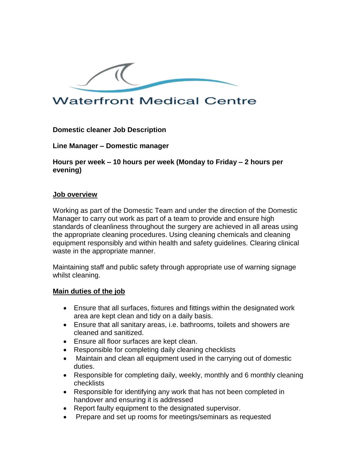

# **Waterfront Medical Centre**

**Domestic cleaner Job Description** 

**Line Manager – Domestic manager** 

**Hours per week – 10 hours per week (Monday to Friday – 2 hours per evening)**

### **Job overview**

Working as part of the Domestic Team and under the direction of the Domestic Manager to carry out work as part of a team to provide and ensure high standards of cleanliness throughout the surgery are achieved in all areas using the appropriate cleaning procedures. Using cleaning chemicals and cleaning equipment responsibly and within health and safety guidelines. Clearing clinical waste in the appropriate manner.

Maintaining staff and public safety through appropriate use of warning signage whilst cleaning.

### **Main duties of the job**

- Ensure that all surfaces, fixtures and fittings within the designated work area are kept clean and tidy on a daily basis.
- Ensure that all sanitary areas, i.e. bathrooms, toilets and showers are cleaned and sanitized.
- Ensure all floor surfaces are kept clean.
- Responsible for completing daily cleaning checklists
- Maintain and clean all equipment used in the carrying out of domestic duties.
- Responsible for completing daily, weekly, monthly and 6 monthly cleaning checklists
- Responsible for identifying any work that has not been completed in handover and ensuring it is addressed
- Report faulty equipment to the designated supervisor.
- Prepare and set up rooms for meetings/seminars as requested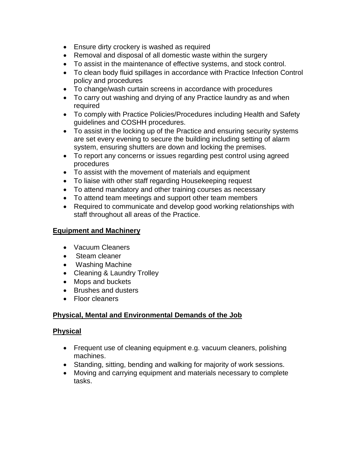- Ensure dirty crockery is washed as required
- Removal and disposal of all domestic waste within the surgery
- To assist in the maintenance of effective systems, and stock control.
- To clean body fluid spillages in accordance with Practice Infection Control policy and procedures
- To change/wash curtain screens in accordance with procedures
- To carry out washing and drying of any Practice laundry as and when required
- To comply with Practice Policies/Procedures including Health and Safety guidelines and COSHH procedures.
- To assist in the locking up of the Practice and ensuring security systems are set every evening to secure the building including setting of alarm system, ensuring shutters are down and locking the premises.
- To report any concerns or issues regarding pest control using agreed procedures
- To assist with the movement of materials and equipment
- To liaise with other staff regarding Housekeeping request
- To attend mandatory and other training courses as necessary
- To attend team meetings and support other team members
- Required to communicate and develop good working relationships with staff throughout all areas of the Practice.

## **Equipment and Machinery**

- Vacuum Cleaners
- Steam cleaner
- Washing Machine
- Cleaning & Laundry Trolley
- Mops and buckets
- Brushes and dusters
- Floor cleaners

## **Physical, Mental and Environmental Demands of the Job**

### **Physical**

- Frequent use of cleaning equipment e.g. vacuum cleaners, polishing machines.
- Standing, sitting, bending and walking for majority of work sessions.
- Moving and carrying equipment and materials necessary to complete tasks.